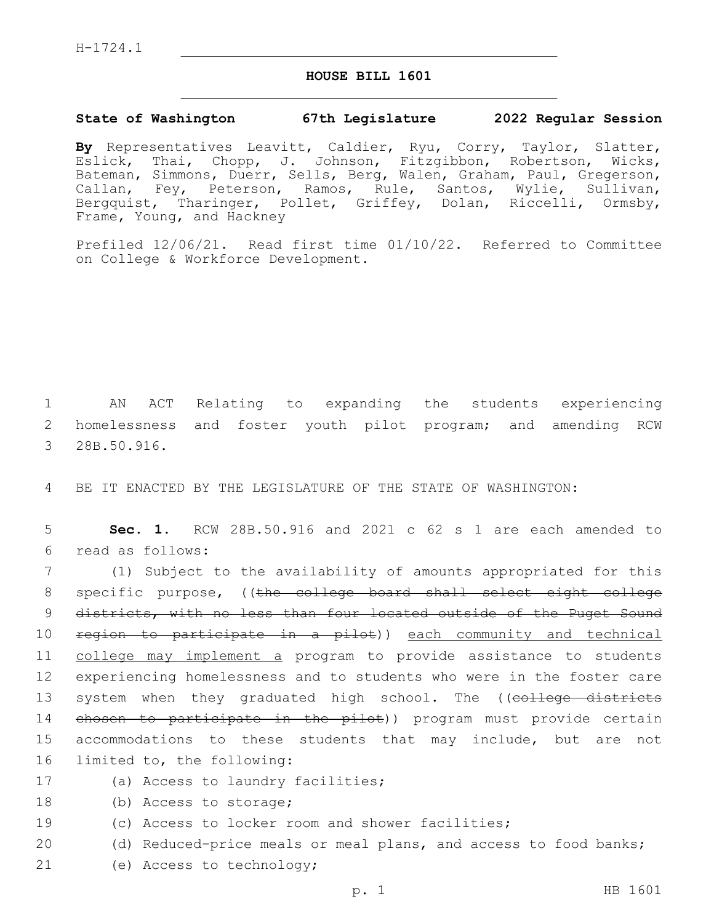H-1724.1

## **HOUSE BILL 1601**

## **State of Washington 67th Legislature 2022 Regular Session**

**By** Representatives Leavitt, Caldier, Ryu, Corry, Taylor, Slatter, Eslick, Thai, Chopp, J. Johnson, Fitzgibbon, Robertson, Wicks, Bateman, Simmons, Duerr, Sells, Berg, Walen, Graham, Paul, Gregerson, Callan, Fey, Peterson, Ramos, Rule, Santos, Wylie, Sullivan, Bergquist, Tharinger, Pollet, Griffey, Dolan, Riccelli, Ormsby, Frame, Young, and Hackney

Prefiled 12/06/21. Read first time 01/10/22. Referred to Committee on College & Workforce Development.

1 AN ACT Relating to expanding the students experiencing 2 homelessness and foster youth pilot program; and amending RCW 3 28B.50.916.

4 BE IT ENACTED BY THE LEGISLATURE OF THE STATE OF WASHINGTON:

5 **Sec. 1.** RCW 28B.50.916 and 2021 c 62 s 1 are each amended to read as follows:6

7 (1) Subject to the availability of amounts appropriated for this 8 specific purpose, ((the college board shall select eight college 9 districts, with no less than four located outside of the Puget Sound 10 region to participate in a pilot)) each community and technical 11 college may implement a program to provide assistance to students 12 experiencing homelessness and to students who were in the foster care 13 system when they graduated high school. The ((college districts 14 chosen to participate in the pilot)) program must provide certain 15 accommodations to these students that may include, but are not 16 limited to, the following:

- 17 (a) Access to laundry facilities;
- 18 (b) Access to storage;
- 19 (c) Access to locker room and shower facilities;
- 20 (d) Reduced-price meals or meal plans, and access to food banks;
- 21 (e) Access to technology;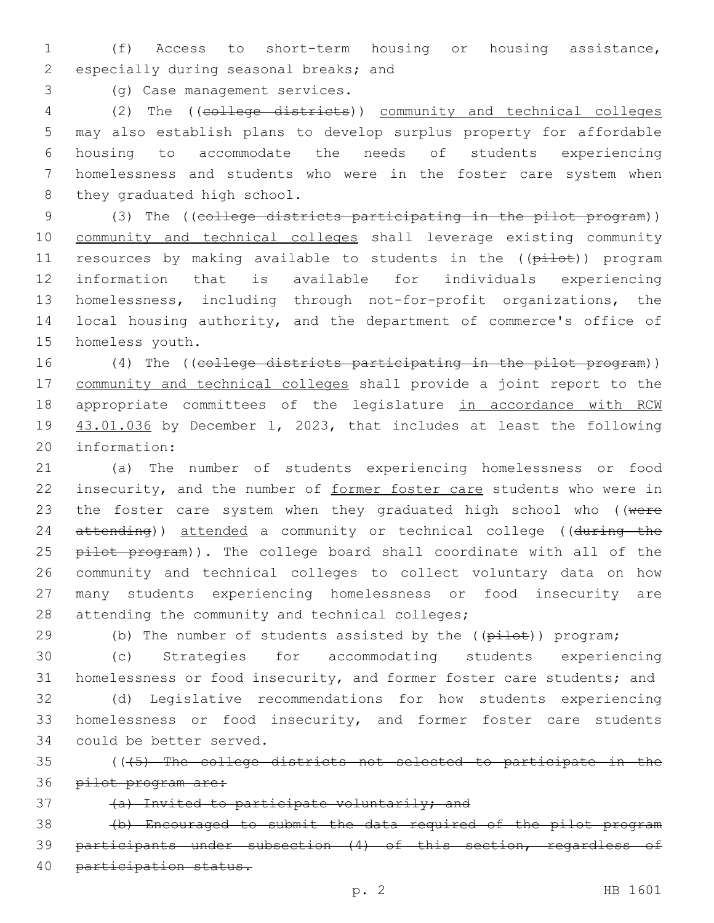1 (f) Access to short-term housing or housing assistance, 2 especially during seasonal breaks; and

(g) Case management services.3

 (2) The ((college districts)) community and technical colleges may also establish plans to develop surplus property for affordable housing to accommodate the needs of students experiencing homelessness and students who were in the foster care system when 8 they graduated high school.

 (3) The ((college districts participating in the pilot program)) community and technical colleges shall leverage existing community 11 resources by making available to students in the ((pilot)) program information that is available for individuals experiencing homelessness, including through not-for-profit organizations, the local housing authority, and the department of commerce's office of 15 homeless youth.

16 (4) The ((college districts participating in the pilot program)) 17 community and technical colleges shall provide a joint report to the 18 appropriate committees of the legislature in accordance with RCW 19 43.01.036 by December 1, 2023, that includes at least the following 20 information:

21 (a) The number of students experiencing homelessness or food 22 insecurity, and the number of former foster care students who were in 23 the foster care system when they graduated high school who ((were 24 attending)) attended a community or technical college ((during the 25 pilot program)). The college board shall coordinate with all of the 26 community and technical colleges to collect voluntary data on how 27 many students experiencing homelessness or food insecurity are 28 attending the community and technical colleges;

29 (b) The number of students assisted by the ((pilot)) program;

30 (c) Strategies for accommodating students experiencing 31 homelessness or food insecurity, and former foster care students; and

32 (d) Legislative recommendations for how students experiencing 33 homelessness or food insecurity, and former foster care students 34 could be better served.

35 (((5) The college districts not selected to participate in the 36 pilot program are:

37 (a) Invited to participate voluntarily; and

38 (b) Encouraged to submit the data required of the pilot program 39 participants under subsection (4) of this section, regardless of 40 participation status.